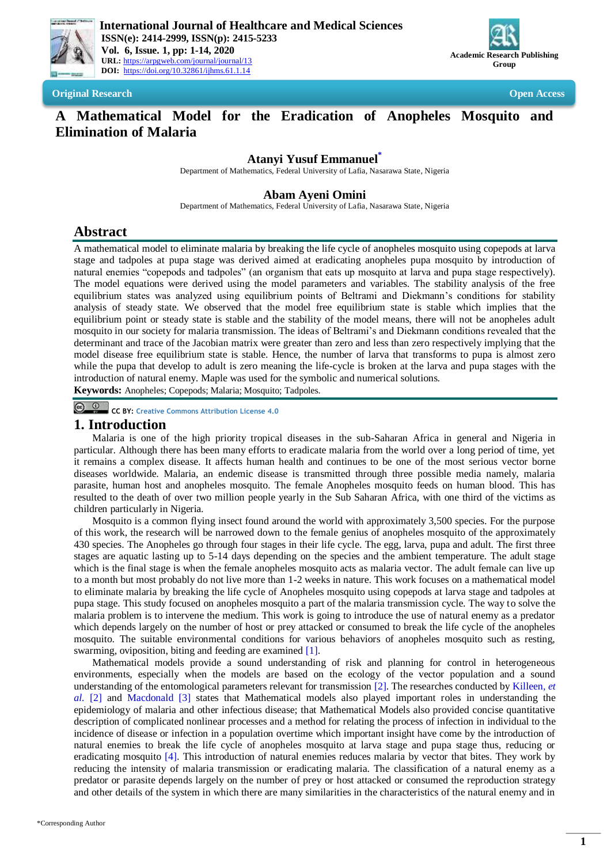



**Original Research Open Access**

# **A Mathematical Model for the Eradication of Anopheles Mosquito and Elimination of Malaria**

# **Atanyi Yusuf Emmanue[l](#page-0-0)\***

Department of Mathematics, Federal University of Lafia, Nasarawa State, Nigeria

# **Abam Ayeni Omini**

Department of Mathematics, Federal University of Lafia, Nasarawa State, Nigeria

# **Abstract**

A mathematical model to eliminate malaria by breaking the life cycle of anopheles mosquito using copepods at larva stage and tadpoles at pupa stage was derived aimed at eradicating anopheles pupa mosquito by introduction of natural enemies "copepods and tadpoles" (an organism that eats up mosquito at larva and pupa stage respectively). The model equations were derived using the model parameters and variables. The stability analysis of the free equilibrium states was analyzed using equilibrium points of Beltrami and Diekmann's conditions for stability analysis of steady state. We observed that the model free equilibrium state is stable which implies that the equilibrium point or steady state is stable and the stability of the model means, there will not be anopheles adult mosquito in our society for malaria transmission. The ideas of Beltrami's and Diekmann conditions revealed that the determinant and trace of the Jacobian matrix were greater than zero and less than zero respectively implying that the model disease free equilibrium state is stable. Hence, the number of larva that transforms to pupa is almost zero while the pupa that develop to adult is zero meaning the life-cycle is broken at the larva and pupa stages with the introduction of natural enemy. Maple was used for the symbolic and numerical solutions.

**Keywords:** Anopheles; Copepods; Malaria; Mosquito; Tadpoles.

**CC BY: [Creative Commons Attribution License 4.0](https://creativecommons.org/licenses/by/4.0/)**

## **1. Introduction**

Malaria is one of the high priority tropical diseases in the sub-Saharan Africa in general and Nigeria in particular. Although there has been many efforts to eradicate malaria from the world over a long period of time, yet it remains a complex disease. It affects human health and continues to be one of the most serious vector borne diseases worldwide. Malaria, an endemic disease is transmitted through three possible media namely, malaria parasite, human host and anopheles mosquito. The female Anopheles mosquito feeds on human blood. This has resulted to the death of over two million people yearly in the Sub Saharan Africa, with one third of the victims as children particularly in Nigeria.

Mosquito is a common flying insect found around the world with approximately 3,500 species. For the purpose of this work, the research will be narrowed down to the female genius of anopheles mosquito of the approximately 430 species. The Anopheles go through four stages in their life cycle. The egg, larva, pupa and adult. The first three stages are aquatic lasting up to 5-14 days depending on the species and the ambient temperature. The adult stage which is the final stage is when the female anopheles mosquito acts as malaria vector. The adult female can live up to a month but most probably do not live more than 1-2 weeks in nature. This work focuses on a mathematical model to eliminate malaria by breaking the life cycle of Anopheles mosquito using copepods at larva stage and tadpoles at pupa stage. This study focused on anopheles mosquito a part of the malaria transmission cycle. The way to solve the malaria problem is to intervene the medium. This work is going to introduce the use of natural enemy as a predator which depends largely on the number of host or prey attacked or consumed to break the life cycle of the anopheles mosquito. The suitable environmental conditions for various behaviors of anopheles mosquito such as resting, swarming, oviposition, biting and feeding are examined [\[1\]](#page-11-0).

<span id="page-0-0"></span>Mathematical models provide a sound understanding of risk and planning for control in heterogeneous environments, especially when the models are based on the ecology of the vector population and a sound understanding of the entomological parameters relevant for transmission [\[2\]](#page-11-1). The researches conducted b[y Killeen](#page-11-1)*, et al.* [2] and [Macdonald \[3\]](#page-11-2) states that Mathematical models also played important roles in understanding the epidemiology of malaria and other infectious disease; that Mathematical Models also provided concise quantitative description of complicated nonlinear processes and a method for relating the process of infection in individual to the incidence of disease or infection in a population overtime which important insight have come by the introduction of natural enemies to break the life cycle of anopheles mosquito at larva stage and pupa stage thus, reducing or eradicating mosquito [\[4\]](#page-11-3). This introduction of natural enemies reduces malaria by vector that bites. They work by reducing the intensity of malaria transmission or eradicating malaria. The classification of a natural enemy as a predator or parasite depends largely on the number of prey or host attacked or consumed the reproduction strategy and other details of the system in which there are many similarities in the characteristics of the natural enemy and in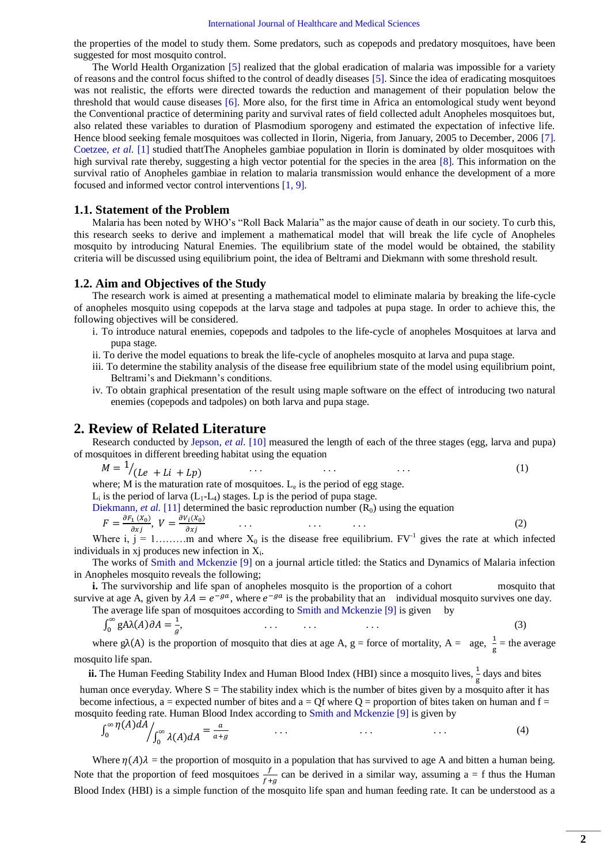the properties of the model to study them. Some predators, such as copepods and predatory mosquitoes, have been suggested for most mosquito control.

The World Health Organization [\[5\]](#page-11-4) realized that the global eradication of malaria was impossible for a variety of reasons and the control focus shifted to the control of deadly diseases [\[5\]](#page-11-4). Since the idea of eradicating mosquitoes was not realistic, the efforts were directed towards the reduction and management of their population below the threshold that would cause diseases [\[6\]](#page-11-5). More also, for the first time in Africa an entomological study went beyond the Conventional practice of determining parity and survival rates of field collected adult Anopheles mosquitoes but, also related these variables to duration of Plasmodium sporogeny and estimated the expectation of infective life. Hence blood seeking female mosquitoes was collected in Ilorin, Nigeria, from January, 2005 to December, 2006 [\[7\]](#page-11-6). [Coetzee](#page-11-0)*, et al.* [1] studied thattThe Anopheles gambiae population in Ilorin is dominated by older mosquitoes with high survival rate thereby, suggesting a high vector potential for the species in the area [\[8\]](#page-12-0). This information on the survival ratio of Anopheles gambiae in relation to malaria transmission would enhance the development of a more focused and informed vector control interventions [\[1,](#page-11-0) [9\]](#page-12-1).

### **1.1. Statement of the Problem**

Malaria has been noted by WHO's "Roll Back Malaria" as the major cause of death in our society. To curb this, this research seeks to derive and implement a mathematical model that will break the life cycle of Anopheles mosquito by introducing Natural Enemies. The equilibrium state of the model would be obtained, the stability criteria will be discussed using equilibrium point, the idea of Beltrami and Diekmann with some threshold result.

### **1.2. Aim and Objectives of the Study**

The research work is aimed at presenting a mathematical model to eliminate malaria by breaking the life-cycle of anopheles mosquito using copepods at the larva stage and tadpoles at pupa stage. In order to achieve this, the following objectives will be considered.

- i. To introduce natural enemies, copepods and tadpoles to the life-cycle of anopheles Mosquitoes at larva and pupa stage.
- ii. To derive the model equations to break the life-cycle of anopheles mosquito at larva and pupa stage.
- iii. To determine the stability analysis of the disease free equilibrium state of the model using equilibrium point, Beltrami's and Diekmann's conditions.
- iv. To obtain graphical presentation of the result using maple software on the effect of introducing two natural enemies (copepods and tadpoles) on both larva and pupa stage.

### **2. Review of Related Literature**

Research conducted by [Jepson](#page-12-2)*, et al.* [10] measured the length of each of the three stages (egg, larva and pupa) of mosquitoes in different breeding habitat using the equation

 $M = \frac{1}{(Le + Li + Lp)}$  ... ... ... ... ... (1)

where; M is the maturation rate of mosquitoes.  $L_e$  is the period of egg stage.

 $L_i$  is the period of larva ( $L_1$ - $L_4$ ) stages. Lp is the period of pupa stage. [Diekmann](#page-12-3), et al. [11] determined the basic reproduction number  $(R_0)$  using the equation

$$
F = \frac{\partial F_1(x_0)}{\partial x_j}, \ V = \frac{\partial V_i(x_0)}{\partial x_j} \tag{2}
$$

Where i,  $j = 1, \ldots, m$  and where  $X_0$  is the disease free equilibrium.  $FV^{-1}$  gives the rate at which infected individuals in  $xj$  produces new infection in  $X_i$ .

The works of [Smith and Mckenzie \[9\]](#page-12-1) on a journal article titled: the Statics and Dynamics of Malaria infection in Anopheles mosquito reveals the following;

**i.** The survivorship and life span of anopheles mosquito is the proportion of a cohort mosquito that survive at age A, given by  $\lambda A = e^{-g}$ , where  $e^{-g}$  is the probability that an individual mosquito survives one day.

The average life span of mosquitoes according to [Smith and Mckenzie \[9\]](#page-12-1) is given by

$$
\int_0^\infty g A \lambda(A) \partial A = \frac{1}{g}, \tag{3}
$$

where  $g\lambda(A)$  is the proportion of mosquito that dies at age A, g = force of mortality, A = age,  $\frac{1}{g}$  = the average mosquito life span.

**ii.** The Human Feeding Stability Index and Human Blood Index (HBI) since a mosquito lives,  $\frac{1}{g}$  days and bites human once everyday. Where  $S =$  The stability index which is the number of bites given by a mosquito after it has become infectious, a = expected number of bites and  $a = Qf$  where  $Q =$  proportion of bites taken on human and  $f =$ mosquito feeding rate. Human Blood Index according to [Smith and Mckenzie \[9\]](#page-12-1) is given by

$$
\int_0^\infty \eta(A) dA \bigg|_{0}^\infty \lambda(A) dA = \frac{a}{a+g} \qquad \qquad \dots \qquad \qquad \dots \qquad \qquad \dots \tag{4}
$$

Where  $\eta(A)\lambda$  = the proportion of mosquito in a population that has survived to age A and bitten a human being. Note that the proportion of feed mosquitoes  $\frac{1}{f+g}$  can be derived in a similar way, assuming a = f thus the Human Blood Index (HBI) is a simple function of the mosquito life span and human feeding rate. It can be understood as a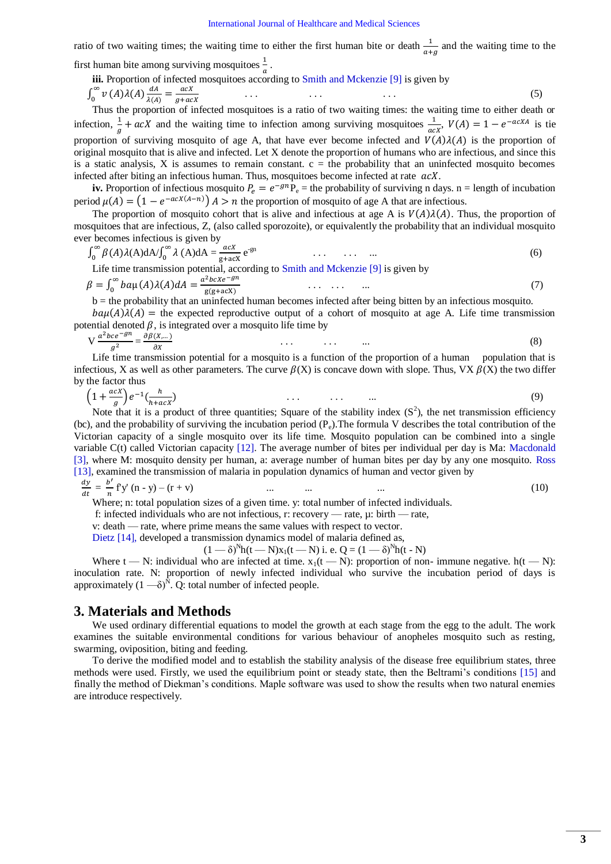ratio of two waiting times; the waiting time to either the first human bite or death  $\frac{1}{a+g}$  and the waiting time to the first human bite among surviving mosquitoes  $\frac{1}{a}$ .

iii. Proportion of infected mosquitoes according to [Smith and Mckenzie \[9\]](#page-12-1) is given by

$$
\int_0^\infty v(A)\lambda(A)\frac{dA}{\lambda(A)} = \frac{acX}{g + acX} \tag{5}
$$

Thus the proportion of infected mosquitoes is a ratio of two waiting times: the waiting time to either death or infection,  $\frac{1}{g} + acX$  and the waiting time to infection among surviving mosquitoes  $\frac{1}{acX}$ ,  $V(A) = 1 - e^{-acXA}$  is tie proportion of surviving mosquito of age A, that have ever become infected and  $V(A)\lambda(A)$  is the proportion of original mosquito that is alive and infected. Let X denote the proportion of humans who are infectious, and since this is a static analysis, X is assumes to remain constant.  $c =$  the probability that an uninfected mosquito becomes infected after biting an infectious human. Thus, mosquitoes become infected at rate  $acX$ .

**iv.** Proportion of infectious mosquito  $P_e = e^{-gn}P_e$  = the probability of surviving n days. n = length of incubation period  $\mu(A) = (1 - e^{-acX(A-n)}) A > n$  the proportion of mosquito of age A that are infectious.

The proportion of mosquito cohort that is alive and infectious at age A is  $V(A)\lambda(A)$ . Thus, the proportion of mosquitoes that are infectious, Z, (also called sporozoite), or equivalently the probability that an individual mosquito ever becomes infectious is given by

$$
\int_0^\infty \beta(A)\lambda(A)dA/\int_0^\infty \lambda(A)dA = \frac{acX}{g+acX}e^{-gn} \qquad \qquad \dots \qquad \dots \qquad \dots \qquad (6)
$$

Life time transmission potential, according t[o Smith and Mckenzie \[9\]](#page-12-1) is given by and the state of the state of the  $a^2bcxe^-$ 

$$
\beta = \int_0^\infty ba\mu(A)\lambda(A) dA = \frac{a^2bcxe^{-gn}}{g(g+acX)} \qquad \dots \qquad \dots \qquad \dots \qquad \dots \tag{7}
$$
\n
$$
b = \text{the probability that on uninfected human becomes infected after being hit on in focusing measure.}
$$

 $b =$  the probability that an uninfected human becomes infected after being bitten by an infectious mosquito.  $b\alpha\mu(A)\lambda(A)$  = the expected reproductive output of a cohort of mosquito at age A. Life time transmission potential denoted  $\beta$ , is integrated over a mosquito life time by

$$
V \frac{a^2 b c e^{-gm}}{g^2} = \frac{\partial \beta(X,...)}{\partial X}
$$
 (8)

Life time transmission potential for a mosquito is a function of the proportion of a human population that is infectious, X as well as other parameters. The curve  $\beta(X)$  is concave down with slope. Thus, VX  $\beta(X)$  the two differ by the factor thus

$$
\left(1 + \frac{acX}{g}\right)e^{-1}\left(\frac{h}{h + acX}\right) \tag{9}
$$

Note that it is a product of three quantities; Square of the stability index  $(S^2)$ , the net transmission efficiency (bc), and the probability of surviving the incubation period  $(P_e)$ . The formula V describes the total contribution of the Victorian capacity of a single mosquito over its life time. Mosquito population can be combined into a single variable C(t) called Victorian capacity [\[12\]](#page-12-4). The average number of bites per individual per day is Ma: [Macdonald](#page-11-2)  [3], where M: mosquito density per human, a: average number of human bites per day by any one mosquito. [Ross](#page-12-5)  [13], examined the transmission of malaria in population dynamics of human and vector given by

$$
\frac{dy}{dt} = \frac{b'}{n} f y' (n - y) - (r + v) \qquad \dots \qquad \dots \qquad \dots \tag{10}
$$

Where; n: total population sizes of a given time. y: total number of infected individuals.

f: infected individuals who are not infectious, r: recovery — rate, µ: birth — rate,

v: death — rate, where prime means the same values with respect to vector.

[Dietz \[14\],](#page-12-6) developed a transmission dynamics model of malaria defined as,

 $(1 - \delta)^{N}h(t - N)x_1(t - N)$  i. e. Q =  $(1 - \delta)^{N}h(t - N)$ 

Where t — N: individual who are infected at time.  $x_1(t - N)$ : proportion of non- immune negative.  $h(t - N)$ : inoculation rate. N: proportion of newly infected individual who survive the incubation period of days is approximately  $(1 - \delta)^{\hat{N}}$ . Q: total number of infected people.

### **3. Materials and Methods**

We used ordinary differential equations to model the growth at each stage from the egg to the adult. The work examines the suitable environmental conditions for various behaviour of anopheles mosquito such as resting, swarming, oviposition, biting and feeding.

To derive the modified model and to establish the stability analysis of the disease free equilibrium states, three methods were used. Firstly, we used the equilibrium point or steady state, then the Beltrami's conditions [\[15\]](#page-12-7) and finally the method of Diekman's conditions. Maple software was used to show the results when two natural enemies are introduce respectively.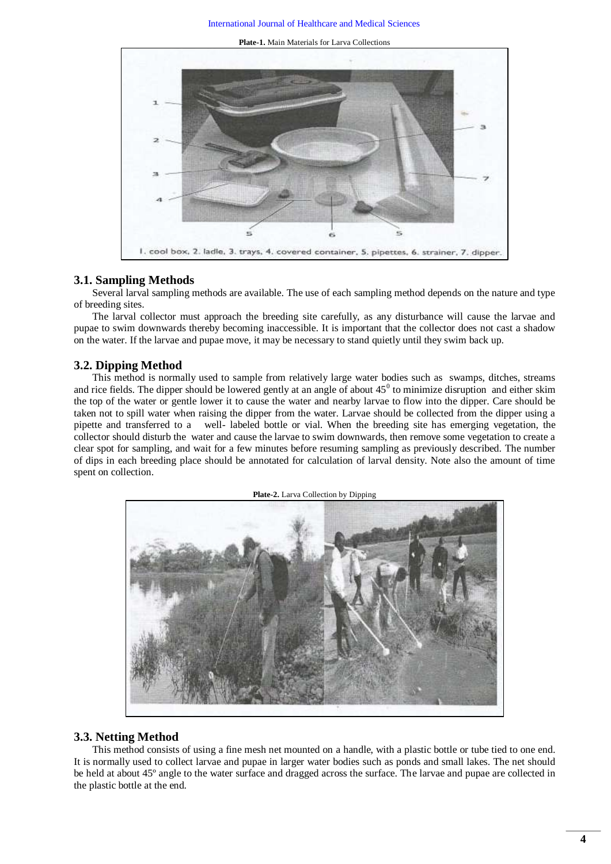**Plate-1.** Main Materials for Larva Collections



# **3.1. Sampling Methods**

Several larval sampling methods are available. The use of each sampling method depends on the nature and type of breeding sites.

The larval collector must approach the breeding site carefully, as any disturbance will cause the larvae and pupae to swim downwards thereby becoming inaccessible. It is important that the collector does not cast a shadow on the water. If the larvae and pupae move, it may be necessary to stand quietly until they swim back up.

### **3.2. Dipping Method**

This method is normally used to sample from relatively large water bodies such as swamps, ditches, streams and rice fields. The dipper should be lowered gently at an angle of about  $45^{\circ}$  to minimize disruption and either skim the top of the water or gentle lower it to cause the water and nearby larvae to flow into the dipper. Care should be taken not to spill water when raising the dipper from the water. Larvae should be collected from the dipper using a pipette and transferred to a well- labeled bottle or vial. When the breeding site has emerging vegetation, the collector should disturb the water and cause the larvae to swim downwards, then remove some vegetation to create a clear spot for sampling, and wait for a few minutes before resuming sampling as previously described. The number of dips in each breeding place should be annotated for calculation of larval density. Note also the amount of time spent on collection.



### **3.3. Netting Method**

This method consists of using a fine mesh net mounted on a handle, with a plastic bottle or tube tied to one end. It is normally used to collect larvae and pupae in larger water bodies such as ponds and small lakes. The net should be held at about 45º angle to the water surface and dragged across the surface. The larvae and pupae are collected in the plastic bottle at the end.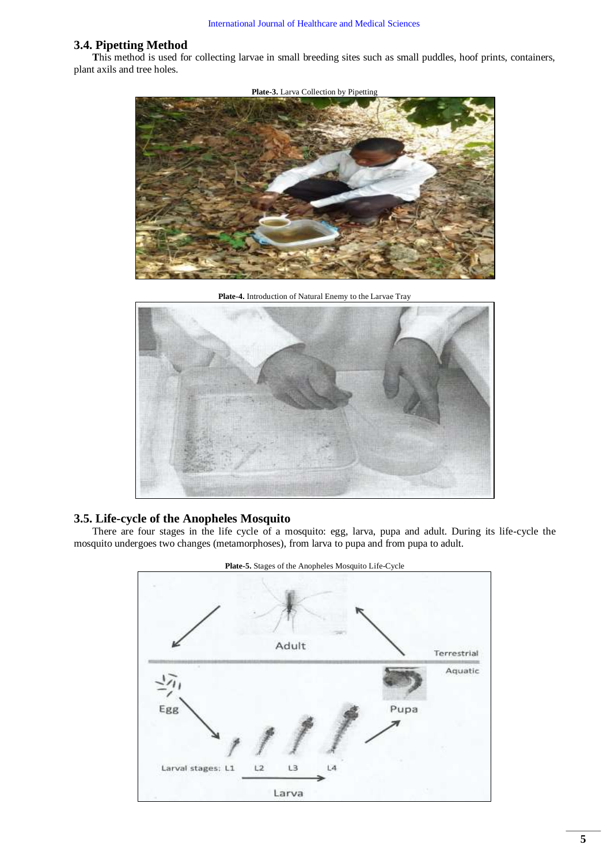## **3.4. Pipetting Method**

**T**his method is used for collecting larvae in small breeding sites such as small puddles, hoof prints, containers, plant axils and tree holes.



**Plate-4.** Introduction of Natural Enemy to the Larvae Tray



### **3.5. Life-cycle of the Anopheles Mosquito**

There are four stages in the life cycle of a mosquito: egg, larva, pupa and adult. During its life-cycle the mosquito undergoes two changes (metamorphoses), from larva to pupa and from pupa to adult.



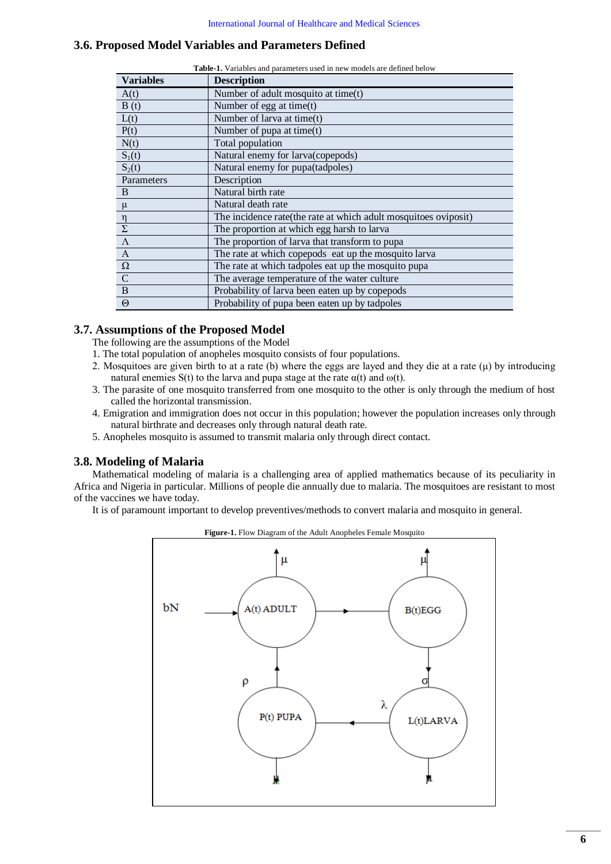# <span id="page-5-0"></span>**3.6. Proposed Model Variables and Parameters Defined**

| <b>Table-1.</b> Variables and parameters used in new models are defined below |                                                                  |  |  |  |  |
|-------------------------------------------------------------------------------|------------------------------------------------------------------|--|--|--|--|
| <b>Variables</b>                                                              | <b>Description</b>                                               |  |  |  |  |
| A(t)                                                                          | Number of adult mosquito at time(t)                              |  |  |  |  |
| B(t)                                                                          | Number of egg at time $(t)$                                      |  |  |  |  |
| L(t)                                                                          | Number of larva at time(t)                                       |  |  |  |  |
| P(t)                                                                          | Number of pupa at time(t)                                        |  |  |  |  |
| N(t)                                                                          | Total population                                                 |  |  |  |  |
| $S_1(t)$                                                                      | Natural enemy for larva(copepods)                                |  |  |  |  |
| $S_2(t)$                                                                      | Natural enemy for pupa(tadpoles)                                 |  |  |  |  |
| Parameters                                                                    | Description                                                      |  |  |  |  |
| B                                                                             | Natural birth rate                                               |  |  |  |  |
| $\mu$                                                                         | Natural death rate                                               |  |  |  |  |
|                                                                               | The incidence rate (the rate at which adult mosquitoes oviposit) |  |  |  |  |
| $\frac{\eta}{\Sigma}$                                                         | The proportion at which egg harsh to larva                       |  |  |  |  |
| $\overline{\Lambda}$                                                          | The proportion of larva that transform to pupa                   |  |  |  |  |
| $\mathbf{A}$                                                                  | The rate at which copepods eat up the mosquito larva             |  |  |  |  |
| $\Omega$                                                                      | The rate at which tadpoles eat up the mosquito pupa              |  |  |  |  |
| $\mathcal{C}$                                                                 | The average temperature of the water culture                     |  |  |  |  |
| $\mathbf B$                                                                   | Probability of larva been eaten up by copepods                   |  |  |  |  |
| $\Theta$                                                                      | Probability of pupa been eaten up by tadpoles                    |  |  |  |  |

### **3.7. Assumptions of the Proposed Model**

The following are the assumptions of the Model

- 1. The total population of anopheles mosquito consists of four populations.
- 2. Mosquitoes are given birth to at a rate (b) where the eggs are layed and they die at a rate  $(\mu)$  by introducing natural enemies S(t) to the larva and pupa stage at the rate  $\alpha(t)$  and  $\omega(t)$ .
- 3. The parasite of one mosquito transferred from one mosquito to the other is only through the medium of host called the horizontal transmission.
- 4. Emigration and immigration does not occur in this population; however the population increases only through natural birthrate and decreases only through natural death rate.
- 5. Anopheles mosquito is assumed to transmit malaria only through direct contact.

### **3.8. Modeling of Malaria**

Mathematical modeling of malaria is a challenging area of applied mathematics because of its peculiarity in Africa and Nigeria in particular. Millions of people die annually due to malaria. The mosquitoes are resistant to most of the vaccines we have today.

<span id="page-5-1"></span>It is of paramount important to develop preventives/methods to convert malaria and mosquito in general.



**Figure-1.** Flow Diagram of the Adult Anopheles Female Mosquito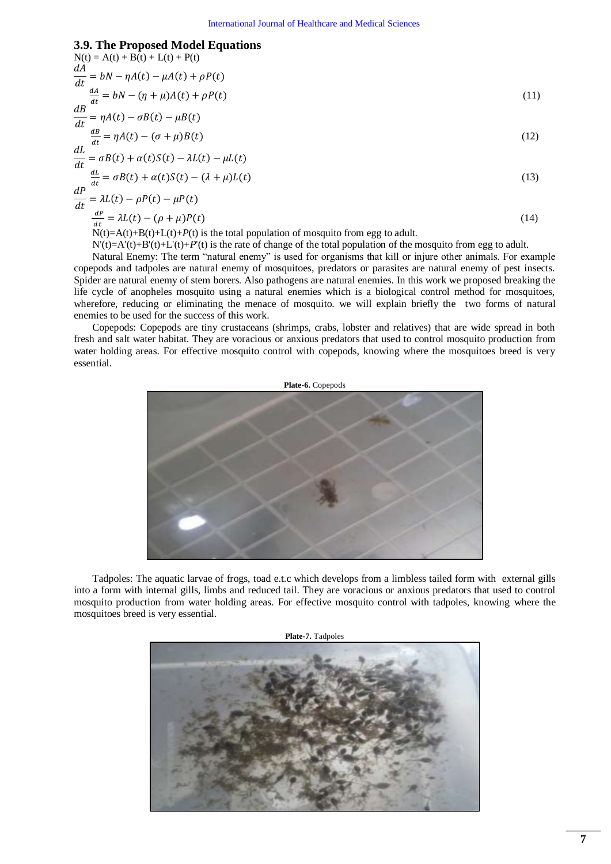### **3.9. The Proposed Model Equations**

N(t) = A(t) + B(t) + L(t) + P(t)  
\n
$$
\frac{dA}{dt} = bN - \eta A(t) - \mu A(t) + \rho P(t)
$$
\n
$$
\frac{dA}{dt} = bN - (\eta + \mu)A(t) + \rho P(t)
$$
\n(*11*)  
\n
$$
\frac{dB}{dt} = \eta A(t) - \sigma B(t) - \mu B(t)
$$
\n
$$
\frac{dL}{dt} = \sigma A(t) - (\sigma + \mu)B(t)
$$
\n(*12*)  
\n
$$
\frac{dL}{dt} = \sigma B(t) + \alpha(t)S(t) - \lambda L(t) - \mu L(t)
$$
\n
$$
\frac{dL}{dt} = \sigma B(t) + \alpha(t)S(t) - (\lambda + \mu) L(t)
$$
\n(*13*)  
\n
$$
\frac{dP}{dt} = \lambda L(t) - \rho P(t) - \mu P(t)
$$
\n
$$
\frac{dP}{dt} = \lambda L(t) - (\rho + \mu)P(t)
$$
\n(*14*)  
\nN(t)=A(t)+B(t)+L(t)+P(t) is the total population of mosquito from egg to adult.

 $N'(t)=A'(t)+B'(t)+L'(t)+P'(t)$  is the rate of change of the total population of the mosquito from egg to adult.

Natural Enemy: The term "natural enemy" is used for organisms that kill or injure other animals. For example copepods and tadpoles are natural enemy of mosquitoes, predators or parasites are natural enemy of pest insects. Spider are natural enemy of stem borers. Also pathogens are natural enemies. In this work we proposed breaking the life cycle of anopheles mosquito using a natural enemies which is a biological control method for mosquitoes, wherefore, reducing or eliminating the menace of mosquito. we will explain briefly the two forms of natural enemies to be used for the success of this work.

Copepods: Copepods are tiny crustaceans (shrimps, crabs, lobster and relatives) that are wide spread in both fresh and salt water habitat. They are voracious or anxious predators that used to control mosquito production from water holding areas. For effective mosquito control with copepods, knowing where the mosquitoes breed is very essential.



Tadpoles: The aquatic larvae of frogs, toad e.t.c which develops from a limbless tailed form with external gills into a form with internal gills, limbs and reduced tail. They are voracious or anxious predators that used to control mosquito production from water holding areas. For effective mosquito control with tadpoles, knowing where the mosquitoes breed is very essential.

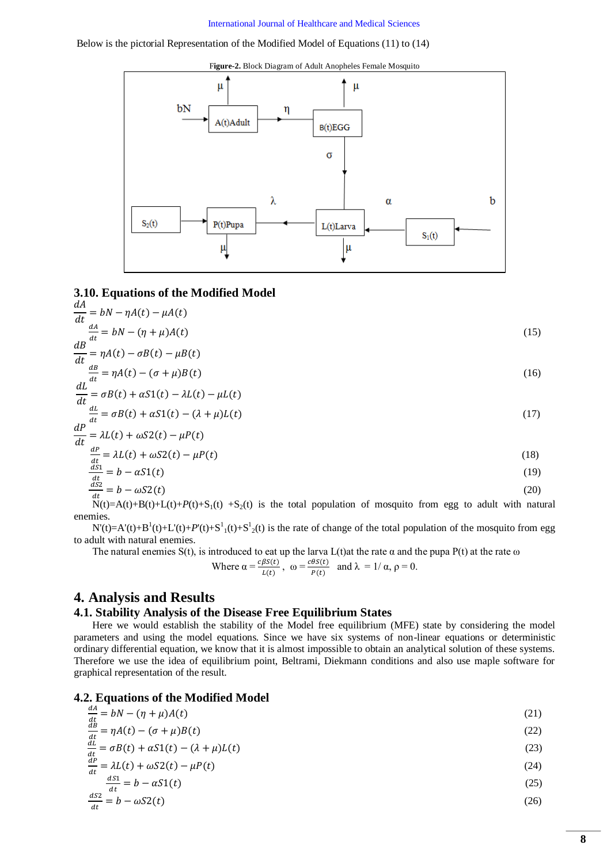#### [International Journal of Healthcare and Medical Sciences](http://arpgweb.com/?ic=journal&journal=13)

#### <span id="page-7-0"></span>Below is the pictorial Representation of the Modified Model of Equations (11) to (14)



### **3.10. Equations of the Modified Model**

$$
\frac{dA}{dt} = bN - \eta A(t) - \mu A(t)
$$
\n
$$
\frac{dA}{dt} = bN - (\eta + \mu)A(t)
$$
\n
$$
\frac{dB}{dt} = \eta A(t) - \sigma B(t) - \mu B(t)
$$
\n
$$
\frac{dB}{dt} = \eta A(t) - (\sigma + \mu)B(t)
$$
\n(16)

$$
\frac{dL}{dt} = \sigma B(t) + \alpha S1(t) - \lambda L(t) - \mu L(t)
$$
\n
$$
\frac{dL}{dt} = \sigma B(t) + \alpha S1(t) - (\lambda + \mu)L(t)
$$
\n
$$
\frac{dP}{dt} = \lambda L(t) + \omega S2(t) - \mu P(t)
$$
\n(17)

$$
\frac{dP}{dt} = \lambda L(t) + \omega S 2(t) - \mu P(t)
$$
\n(18)

$$
\frac{dS_1}{dt} = b - \alpha S1(t) \tag{19}
$$
  

$$
\frac{dS_2}{dt} = b - \omega S2(t) \tag{20}
$$

$$
N(t) = A(t) + B(t) + L(t) + P(t) + S_1(t) + S_2(t)
$$
 is the total population of the magnitude from egg to adult with natural  
enemies.

 $N'(t) = A'(t) + B<sup>1</sup>(t) + L'(t) + P'(t) + S<sup>1</sup><sub>1</sub>(t) + S<sup>1</sup><sub>2</sub>(t)$  is the rate of change of the total population of the mosquito from egg to adult with natural enemies.

The natural enemies S(t), is introduced to eat up the larva L(t)at the rate  $\alpha$  and the pupa P(t) at the rate  $\omega$ 

Where 
$$
\alpha = \frac{c\beta S(t)}{L(t)}
$$
,  $\omega = \frac{c\theta S(t)}{P(t)}$  and  $\lambda = 1/\alpha$ ,  $\rho = 0$ .

### **4. Analysis and Results**

### **4.1. Stability Analysis of the Disease Free Equilibrium States**

Here we would establish the stability of the Model free equilibrium (MFE) state by considering the model parameters and using the model equations. Since we have six systems of non-linear equations or deterministic ordinary differential equation, we know that it is almost impossible to obtain an analytical solution of these systems. Therefore we use the idea of equilibrium point, Beltrami, Diekmann conditions and also use maple software for graphical representation of the result.

#### **4.2. Equations of the Modified Model**   $dA$

| $\frac{dA}{dt} = bN - (\eta + \mu)A(t)$                                       | (21) |
|-------------------------------------------------------------------------------|------|
| $\frac{dB}{dt} = \eta A(t) - (\sigma + \mu)B(t)$                              | (22) |
| dL<br>$\Gamma(\lambda)$ $\Gamma(\lambda)$ $\Gamma(\lambda)$ $\Gamma(\lambda)$ | (0)  |

 $\frac{du}{dt} = \sigma B(t) + \alpha S(1(t) - (\lambda + \mu)L(t)$  (23)

$$
\frac{dP}{dt} = \lambda L(t) + \omega S 2(t) - \mu P(t) \tag{24}
$$

$$
\frac{dS_1}{dt} = b - aS1(t) \tag{25}
$$

$$
\frac{dSZ}{dt} = b - \omega S2(t) \tag{26}
$$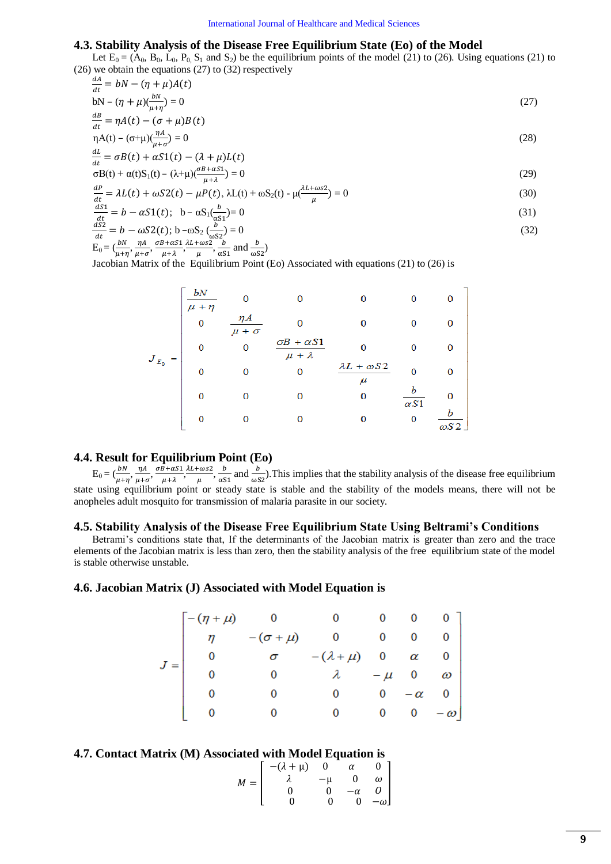### **4.3. Stability Analysis of the Disease Free Equilibrium State (Eo) of the Model**

Let  $E_0 = (A_0, B_0, L_0, P_0, S_1 \text{ and } S_2)$  be the equilibrium points of the model (21) to (26). Using equations (21) to (26) we obtain the equations (27) to (32) respectively  $dA$ 

$$
\frac{dA}{dt} = bN - (\eta + \mu)A(t)
$$
  
 
$$
bN - (\eta + \mu)(\frac{bN}{dt}) = 0
$$
 (27)

$$
bN - (\eta + \mu)\left(\frac{\partial N}{\partial t + \eta}\right) = 0\tag{27}
$$
\n
$$
\frac{dB}{dt} = nA(t) - (\sigma + \mu)B(t)
$$

$$
\frac{d}{dt} \eta A(t) - (\sigma + \mu) \frac{\eta A}{(t-1)^2} = 0
$$
\n(28)

$$
\frac{dL}{dt} = \sigma B(t) + \alpha S 1(t) - (\lambda + \mu)L(t)
$$

$$
\frac{dt}{\sigma(t)} = \frac{\sigma(t)}{\sigma(t)} + \alpha(t)S_1(t) - (\lambda + \mu)\frac{\sigma(t)}{\mu + \lambda} = 0
$$
\n(29)

$$
\frac{dP}{dt} = \lambda L(t) + \omega S 2(t) - \mu P(t), \lambda L(t) + \omega S_2(t) - \mu \left(\frac{\lambda L + \omega s 2}{\omega}\right) = 0
$$
\n(30)

$$
\frac{dS_1}{dt} = b - \alpha S_1(t); \quad b - \alpha S_1(\frac{b}{\alpha S_1}) = 0
$$
\n(31)

$$
\frac{d^{2}y}{dt} = b - \alpha S1(t); \quad b - \alpha S_1(\frac{b}{\alpha S_1}) = 0
$$
\n(31)\n
$$
\frac{d^{2}S_2}{dt} = b - \omega S2(t); \quad b - \omega S_2(\frac{b}{\alpha S_1}) = 0
$$
\n(32)

$$
\frac{dS}{dt} = b - \omega S2(t); b - \omega S_2 \left(\frac{b}{\omega S_2}\right) = 0
$$
  
\n
$$
E_0 = \left(\frac{bN}{\mu + \eta}, \frac{\eta A}{\mu + \sigma}, \frac{\sigma B + \alpha S_1}{\mu + \lambda}, \frac{\lambda L + \omega S_2}{\mu}, \frac{b}{\alpha S_1} \text{ and } \frac{b}{\omega S_2}\right)
$$
\n(32)

Jacobian Matrix of the Equilibrium Point (Eo) Associated with equations (21) to (26) is

|             | bN<br>$\mu + \eta$ | 0                          | 0                                         | 0                                   | 0                | 0            |
|-------------|--------------------|----------------------------|-------------------------------------------|-------------------------------------|------------------|--------------|
|             | 0                  | $\eta A$<br>$\mu + \sigma$ | $\Omega$                                  | 0                                   | 0                | 0            |
|             | 0                  | 0                          | $\sigma B + \alpha S1$<br>$\mu + \lambda$ | 0                                   | 0                |              |
| $J_{E_0} =$ | $\bf{0}$           | 0                          | 0                                         | $\lambda L + \omega S2$<br>$_{\mu}$ | 0                | O            |
|             | 0                  | 0                          | 0                                         | 0                                   | Ь<br>$\alpha S1$ |              |
|             | $\bf{0}$           | 0                          | 0                                         | 0                                   | 0                | $\omega$ S2. |

### **4.4. Result for Equilibrium Point (Eo)**

 $E_0 = (\frac{bN}{\mu + \eta}, \frac{\eta}{\mu + \eta})$  $\frac{\eta A}{\mu+\sigma}$ ,  $\frac{\sigma}{\sigma}$  $\frac{B+\alpha S1}{\mu+\lambda}$ ,  $\frac{\cos 2}{\mu}$ ,  $\frac{b}{\alpha S}$  $\frac{b}{\alpha s_1}$  and  $\frac{b}{\omega s_2}$ ). This implies that the stability analysis of the disease free equilibrium state using equilibrium point or steady state is stable and the stability of the models means, there will not be anopheles adult mosquito for transmission of malaria parasite in our society.

#### **4.5. Stability Analysis of the Disease Free Equilibrium State Using Beltrami's Conditions**

Betrami's conditions state that, If the determinants of the Jacobian matrix is greater than zero and the trace elements of the Jacobian matrix is less than zero, then the stability analysis of the free equilibrium state of the model is stable otherwise unstable.

### **4.6. Jacobian Matrix (J) Associated with Model Equation is**

$$
J = \begin{bmatrix} -(\eta + \mu) & 0 & 0 & 0 & 0 & 0 \\ \eta & -(\sigma + \mu) & 0 & 0 & 0 & 0 \\ 0 & \sigma & -(\lambda + \mu) & 0 & \alpha & 0 \\ 0 & 0 & \lambda & -\mu & 0 & \omega \\ 0 & 0 & 0 & 0 & -\alpha & 0 \\ 0 & 0 & 0 & 0 & 0 & -\omega \end{bmatrix}
$$

### **4.7. Contact Matrix (M) Associated with Model Equation is**

$$
M = \begin{bmatrix} -(\lambda + \mu) & 0 & \alpha & 0 \\ \lambda & -\mu & 0 & \omega \\ 0 & 0 & -\alpha & 0 \\ 0 & 0 & 0 & -\omega \end{bmatrix}
$$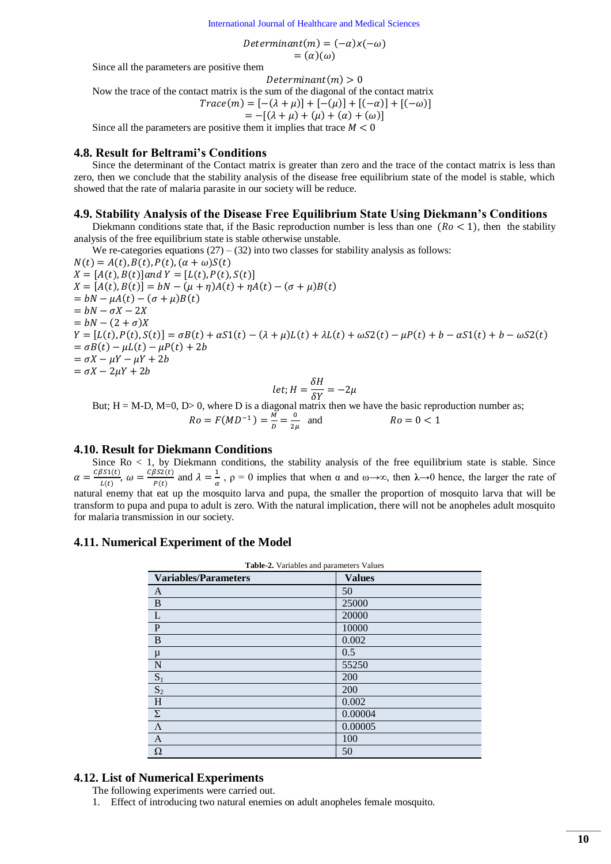[International Journal of Healthcare and Medical Sciences](http://arpgweb.com/?ic=journal&journal=13)

Determinant(m) =  $(-\alpha)x(-\omega)$  $=(\alpha)(\omega)$ 

Since all the parameters are positive them

 $Determinant(m) > 0$ 

Now the trace of the contact matrix is the sum of the diagonal of the contact matrix  $Trac\omega(m) = [-(\lambda + \mu)] + [-(\mu)] + [(-\alpha)] + [(-\omega)]$ 

$$
Trace(m) = [-(\lambda + \mu)] + [-(\mu)] + [(-\alpha)] + [(-\omega)]
$$

 $= -[(\lambda + \mu) + (\mu) + (\alpha) + (\omega)]$ Since all the parameters are positive them it implies that trace  $M < 0$ 

### **4.8. Result for Beltrami's Conditions**

Since the determinant of the Contact matrix is greater than zero and the trace of the contact matrix is less than zero, then we conclude that the stability analysis of the disease free equilibrium state of the model is stable, which showed that the rate of malaria parasite in our society will be reduce.

### **4.9. Stability Analysis of the Disease Free Equilibrium State Using Diekmann's Conditions**

Diekmann conditions state that, if the Basic reproduction number is less than one  $(Ro < 1)$ , then the stability analysis of the free equilibrium state is stable otherwise unstable.

We re-categories equations  $(27) - (32)$  into two classes for stability analysis as follows:

 $N(t) = A(t), B(t), P(t), (\alpha + \omega)S(t)$  $X = [A(t), B(t)]$  and  $Y = [L(t), P(t), S(t)]$  $X = [A(t), B(t)] = bN - (\mu + \eta)A(t) + \eta A(t) - (\sigma + \mu)B(t)$  $=$  $=$  $= bN - (2 + \sigma)X$  $Y = [L(t), P(t), S(t)] = \sigma B(t) + \alpha S(1(t) - (\lambda + \mu)L(t) + \lambda L(t) + \omega S(1(t) - \mu P(t) + b - \alpha S(1(t) + b - \omega S(1(t)))$  $= \sigma B(t) - \mu L(t) - \mu P(t) + 2b$  $= \sigma X - \mu Y - \mu Y + 2b$  $=\sigma X-2\mu Y+2b$  $\delta$ 

$$
let; H = \frac{\delta H}{\delta Y} = -2\mu
$$

But; H = M-D, M=0, D> 0, where D is a diagonal matrix then we have the basic reproduction number as;

$$
Ro = F(MD^{-1}) = \frac{m}{D} = \frac{0}{2\mu}
$$
 and  $Ro = 0 < 1$ 

### **4.10. Result for Diekmann Conditions**

Since  $Ro < 1$ , by Diekmann conditions, the stability analysis of the free equilibrium state is stable. Since  $\alpha = \frac{c}{c}$  $rac{3s_1(t)}{L(t)}$ ,  $\omega = \frac{C}{t}$  $\frac{\beta S2(t)}{P(t)}$  and  $\lambda = \frac{1}{\alpha}$  $\frac{1}{\alpha}$ ,  $\rho = 0$  implies that when  $\alpha$  and  $\omega \rightarrow \infty$ , then  $\lambda \rightarrow 0$  hence, the larger the rate of natural enemy that eat up the mosquito larva and pupa, the smaller the proportion of mosquito larva that will be transform to pupa and pupa to adult is zero. With the natural implication, there will not be anopheles adult mosquito for malaria transmission in our society.

### **4.11. Numerical Experiment of the Model**

| <b>Variables/Parameters</b> | <b>Values</b> |
|-----------------------------|---------------|
| A                           | 50            |
| B                           | 25000         |
| L                           | 20000         |
| $\mathbf{P}$                | 10000         |
| B                           | 0.002         |
| $\mu$                       | 0.5           |
| N                           | 55250         |
| $S_1$                       | 200           |
| S <sub>2</sub>              | 200           |
| H                           | 0.002         |
| Σ                           | 0.00004       |
| $\Lambda$                   | 0.00005       |
| $\overline{A}$              | 100           |
| Ω                           | 50            |

### **4.12. List of Numerical Experiments**

- The following experiments were carried out.
- 1. Effect of introducing two natural enemies on adult anopheles female mosquito.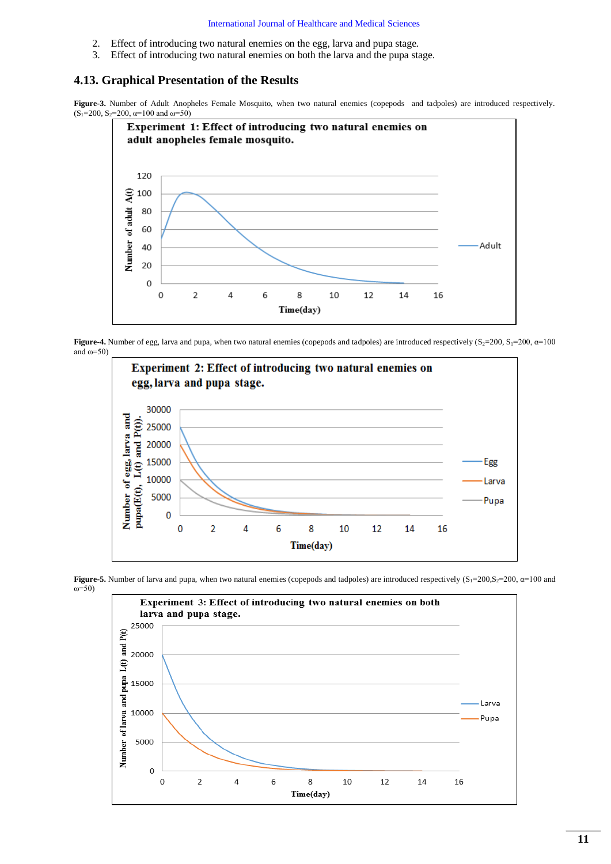#### [International Journal of Healthcare and Medical Sciences](http://arpgweb.com/?ic=journal&journal=13)

- 2. Effect of introducing two natural enemies on the egg, larva and pupa stage.
- 3. Effect of introducing two natural enemies on both the larva and the pupa stage.

### **4.13. Graphical Presentation of the Results**

<span id="page-10-0"></span>**Figure-3.** Number of Adult Anopheles Female Mosquito, when two natural enemies (copepods and tadpoles) are introduced respectively.  $(S_1=200, S_2=200, \alpha=100 \text{ and } \omega=50)$ 



**Figure-4.** Number of egg, larva and pupa, when two natural enemies (copepods and tadpoles) are introduced respectively  $(S_2=200, S_1=200, \alpha=100)$ and  $\omega$ =50)





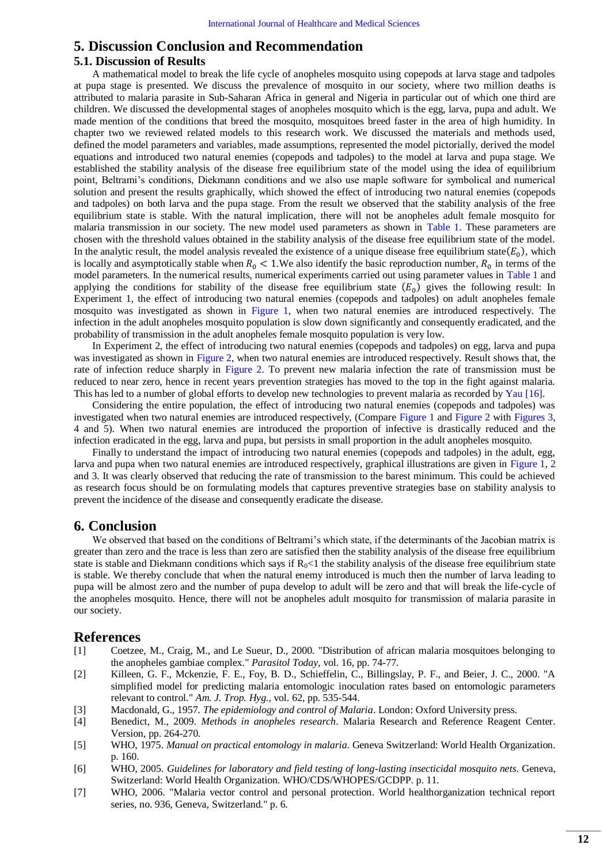# **5. Discussion Conclusion and Recommendation**

### **5.1. Discussion of Results**

A mathematical model to break the life cycle of anopheles mosquito using copepods at larva stage and tadpoles at pupa stage is presented. We discuss the prevalence of mosquito in our society, where two million deaths is attributed to malaria parasite in Sub-Saharan Africa in general and Nigeria in particular out of which one third are children. We discussed the developmental stages of anopheles mosquito which is the egg, larva, pupa and adult. We made mention of the conditions that breed the mosquito, mosquitoes breed faster in the area of high humidity. In chapter two we reviewed related models to this research work. We discussed the materials and methods used, defined the model parameters and variables, made assumptions, represented the model pictorially, derived the model equations and introduced two natural enemies (copepods and tadpoles) to the model at larva and pupa stage. We established the stability analysis of the disease free equilibrium state of the model using the idea of equilibrium point, Beltrami's conditions, Diekmann conditions and we also use maple software for symbolical and numerical solution and present the results graphically, which showed the effect of introducing two natural enemies (copepods and tadpoles) on both larva and the pupa stage. From the result we observed that the stability analysis of the free equilibrium state is stable. With the natural implication, there will not be anopheles adult female mosquito for malaria transmission in our society. The new model used parameters as shown in [Table 1.](#page-5-0) These parameters are chosen with the threshold values obtained in the stability analysis of the disease free equilibrium state of the model. In the analytic result, the model analysis revealed the existence of a unique disease free equilibrium state  $(E_0)$ , which is locally and asymptotically stable when  $R_0 < 1$ . We also identify the basic reproduction number,  $R_0$  in terms of the model parameters. In the numerical results, numerical experiments carried out using parameter values in [Table 1](#page-5-0) and applying the conditions for stability of the disease free equilibrium state  $(E_0)$  gives the following result: In Experiment 1, the effect of introducing two natural enemies (copepods and tadpoles) on adult anopheles female mosquito was investigated as shown in [Figure 1,](#page-5-1) when two natural enemies are introduced respectively. The infection in the adult anopheles mosquito population is slow down significantly and consequently eradicated, and the probability of transmission in the adult anopheles female mosquito population is very low.

In Experiment 2, the effect of introducing two natural enemies (copepods and tadpoles) on egg, larva and pupa was investigated as shown in [Figure 2,](#page-7-0) when two natural enemies are introduced respectively. Result shows that, the rate of infection reduce sharply in [Figure 2.](#page-7-0) To prevent new malaria infection the rate of transmission must be reduced to near zero, hence in recent years prevention strategies has moved to the top in the fight against malaria. This has led to a number of global efforts to develop new technologies to prevent malaria as recorded b[y Yau \[16\].](#page-12-8)

Considering the entire population, the effect of introducing two natural enemies (copepods and tadpoles) was investigated when two natural enemies are introduced respectively, (Compare [Figure 1](#page-5-1) and [Figure 2](#page-7-0) with [Figures 3,](#page-10-0) 4 and 5). When two natural enemies are introduced the proportion of infective is drastically reduced and the infection eradicated in the egg, larva and pupa, but persists in small proportion in the adult anopheles mosquito.

Finally to understand the impact of introducing two natural enemies (copepods and tadpoles) in the adult, egg, larva and pupa when two natural enemies are introduced respectively, graphical illustrations are given in [Figure 1,](#page-5-1) [2](#page-7-0) and 3. It was clearly observed that reducing the rate of transmission to the barest minimum. This could be achieved as research focus should be on formulating models that captures preventive strategies base on stability analysis to prevent the incidence of the disease and consequently eradicate the disease.

### **6. Conclusion**

We observed that based on the conditions of Beltrami's which state, if the determinants of the Jacobian matrix is greater than zero and the trace is less than zero are satisfied then the stability analysis of the disease free equilibrium state is stable and Diekmann conditions which says if  $R_0 < 1$  the stability analysis of the disease free equilibrium state is stable. We thereby conclude that when the natural enemy introduced is much then the number of larva leading to pupa will be almost zero and the number of pupa develop to adult will be zero and that will break the life-cycle of the anopheles mosquito. Hence, there will not be anopheles adult mosquito for transmission of malaria parasite in our society.

### **References**

- <span id="page-11-0"></span>[1] Coetzee, M., Craig, M., and Le Sueur, D., 2000. "Distribution of african malaria mosquitoes belonging to the anopheles gambiae complex." *Parasitol Today,* vol. 16, pp. 74-77.
- <span id="page-11-1"></span>[2] Killeen, G. F., Mckenzie, F. E., Foy, B. D., Schieffelin, C., Billingslay, P. F., and Beier, J. C., 2000. "A simplified model for predicting malaria entomologic inoculation rates based on entomologic parameters relevant to control." *Am. J. Trop. Hyg.,* vol. 62, pp. 535-544.
- <span id="page-11-2"></span>[3] Macdonald, G., 1957. *The epidemiology and control of Malaria*. London: Oxford University press.
- <span id="page-11-3"></span>[4] Benedict, M., 2009. *Methods in anopheles research*. Malaria Research and Reference Reagent Center. Version, pp. 264-270.
- <span id="page-11-4"></span>[5] WHO, 1975. *Manual on practical entomology in malaria*. Geneva Switzerland: World Health Organization. p. 160.
- <span id="page-11-5"></span>[6] WHO, 2005. *Guidelines for laboratory and field testing of long-lasting insecticidal mosquito nets*. Geneva, Switzerland: World Health Organization. WHO/CDS/WHOPES/GCDPP. p. 11.
- <span id="page-11-6"></span>[7] WHO, 2006. "Malaria vector control and personal protection. World healthorganization technical report series, no. 936, Geneva, Switzerland." p. 6.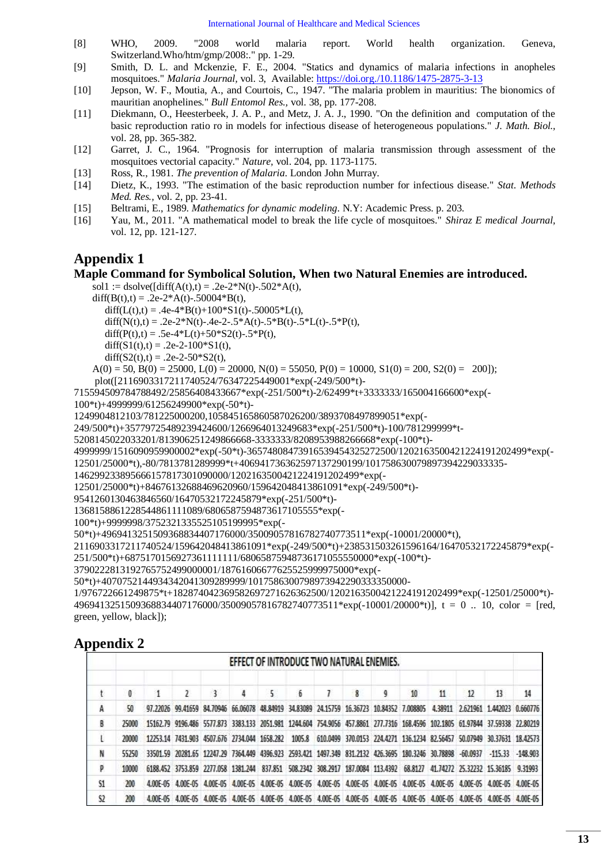- <span id="page-12-0"></span>[8] WHO, 2009. "2008 world malaria report. World health organization. Geneva, Switzerland.Who/htm/gmp/2008:." pp. 1-29.
- <span id="page-12-1"></span>[9] Smith, D. L. and Mckenzie, F. E., 2004. "Statics and dynamics of malaria infections in anopheles mosquitoes." *Malaria Journal,* vol. 3, Available:<https://doi.org./10.1186/1475-2875-3-13>
- <span id="page-12-2"></span>[10] Jepson, W. F., Moutia, A., and Courtois, C., 1947. "The malaria problem in mauritius: The bionomics of mauritian anophelines." *Bull Entomol Res.,* vol. 38, pp. 177-208.
- <span id="page-12-3"></span>[11] Diekmann, O., Heesterbeek, J. A. P., and Metz, J. A. J., 1990. "On the definition and computation of the basic reproduction ratio ro in models for infectious disease of heterogeneous populations." *J. Math. Biol.,*  vol. 28, pp. 365-382.
- <span id="page-12-4"></span>[12] Garret, J. C., 1964. "Prognosis for interruption of malaria transmission through assessment of the mosquitoes vectorial capacity." *Nature,* vol. 204, pp. 1173-1175.
- <span id="page-12-5"></span>[13] Ross, R., 1981. *The prevention of Malaria*. London John Murray.
- <span id="page-12-6"></span>[14] Dietz, K., 1993. "The estimation of the basic reproduction number for infectious disease." *Stat. Methods Med. Res.,* vol. 2, pp. 23-41.
- <span id="page-12-7"></span>[15] Beltrami, E., 1989. *Mathematics for dynamic modeling*. N.Y: Academic Press. p. 203.
- <span id="page-12-8"></span>[16] Yau, M., 2011. "A mathematical model to break the life cycle of mosquitoes." *Shiraz E medical Journal,*  vol. 12, pp. 121-127.

# **Appendix 1**

### **Maple Command for Symbolical Solution, When two Natural Enemies are introduced.**

sol1 := dsolve( $\text{diff}(A(t),t) = .2e-2*N(t)-.502*A(t),$ 

```
diff(B(t),t) = .2e-2*A(t)-.50004*B(t),
```
diff(L(t),t) = .4e-4\*B(t)+100\*S1(t)-.50005\*L(t),

diff(N(t),t) = .2e-2\*N(t)-.4e-2-.5\*A(t)-.5\*B(t)-.5\*L(t)-.5\*P(t),

diff(P(t),t) = .5e-4\*L(t)+50\*S2(t)-.5\*P(t),

```
diff(S1(t),t) = .2e-2-100*S1(t),
```

```
diff(S2(t),t) = .2e-2-50*S2(t),
```
 $A(0) = 50$ ,  $B(0) = 25000$ ,  $L(0) = 20000$ ,  $N(0) = 55050$ ,  $P(0) = 10000$ ,  $S1(0) = 200$ ,  $S2(0) = 200$ ]); plot([2116903317211740524/76347225449001\*exp(-249/500\*t)-

715594509784788492/25856408433667\*exp(-251/500\*t)-2/62499\*t+3333333/165004166600\*exp(-

100\*t)+4999999/61256249900\*exp(-50\*t)-

1249904812103/781225000200,105845165860587026200/3893708497899051\*exp(-

249/500\*t)+35779725489239424600/1266964013249683\*exp(-251/500\*t)-100/781299999\*t-

5208145022033201/813906251249866668-3333333/8208953988266668\*exp(-100\*t)-

4999999/1516090959900002\*exp(-50\*t)-36574808473916539454325272500/1202163500421224191202499\*exp(-

12501/25000\*t),-80/7813781289999\*t+406941736362597137290199/101758630079897394229033335-

```
146299233895666157817301090000/1202163500421224191202499*exp(-
```
12501/25000\*t)+84676132688469620960/159642048413861091\*exp(-249/500\*t)-

9541260130463846560/16470532172245879\*exp(-251/500\*t)-

1368158861228544861111089/6806587594873617105555\*exp(-

```
100*t)+9999998/3752321335525105199995*exp(-
```
50\*t)+4969413251509368834407176000/35009057816782740773511\*exp(-10001/20000\*t),

2116903317211740524/159642048413861091\*exp(-249/500\*t)+238531503261596164/16470532172245879\*exp(-

```
251/500*t)+6875170156927361111111/68065875948736171055550000*exp(-100*t)-
```
3790222813192765752499000001/18761606677625525999975000\*exp(-

50\*t)+4070752144934342041309289999/1017586300798973942290333350000-

1/976722661249875\*t+182874042369582697271626362500/1202163500421224191202499\*exp(-12501/25000\*t)- 4969413251509368834407176000/35009057816782740773511\*exp(-10001/20000\*t)], t = 0 .. 10, color = [red, green, yellow, black]);

# **Appendix 2**

|    |    |                                                                                                                                     |  |    |   |   | EFFECT OF INTRODUCE TWO NATURAL ENEMIES. |           |    |                 |                                                                                                                               |    |
|----|----|-------------------------------------------------------------------------------------------------------------------------------------|--|----|---|---|------------------------------------------|-----------|----|-----------------|-------------------------------------------------------------------------------------------------------------------------------|----|
|    |    |                                                                                                                                     |  | 5. | 6 | 8 | q                                        | $10^{-1}$ | 11 | 12 <sup>5</sup> | 13                                                                                                                            | 14 |
| A  | 50 |                                                                                                                                     |  |    |   |   |                                          |           |    |                 | 97.22026 99.41659 84.70946 66.06078 48.84919 34.83089 24.15759 16.36723 10.84352 7.008805 4.38911 2.621961 1.442023 0.660776  |    |
| B  |    | 25000 15162.79 9196.486 5577.873 3383.133 2051.981 1244.604 754.9056 457.8861 277.7316 168.4596 102.1805 61.97844 37.59338 22.80219 |  |    |   |   |                                          |           |    |                 |                                                                                                                               |    |
|    |    |                                                                                                                                     |  |    |   |   |                                          |           |    |                 | 12253.14 7431.903 4507.676 2734.044 1658.282 1005.8 610.0499 370.0153 224.4271 136.1234 82.56457 50.07949 30.37631 18.42573   |    |
| N  |    | 55250 33501.59 20281.65 12247.29 7364.449 4396.923 2593.421 1497.349 831.2132 426.3695 180.3246 30.78898 -60.0937 -115.33 -148.903  |  |    |   |   |                                          |           |    |                 |                                                                                                                               |    |
| p  |    |                                                                                                                                     |  |    |   |   |                                          |           |    |                 | 6188.452 3753.859 2277.058 1381.244 837.851 508.2342 308.2917 187.0084 113.4392 68.8127 41.74272 25.32232 15.36185 9.31993    |    |
| S1 |    |                                                                                                                                     |  |    |   |   |                                          |           |    |                 | 4.00E-05 4.00E-05 4.00E-05 4.00E-05 4.00E-05 4.00E-05 4.00E-05 4.00E-05 4.00E-05 4.00E-05 4.00E-05 4.00E-05 4.00E-05 4.00E-05 |    |
| 52 |    |                                                                                                                                     |  |    |   |   |                                          |           |    |                 | 4.00E-05 4.00E-05 4.00E-05 4.00E-05 4.00E-05 4.00E-05 4.00E-05 4.00E-05 4.00E-05 4.00E-05 4.00E-05 4.00E-05 4.00E-05 4.00E-05 |    |